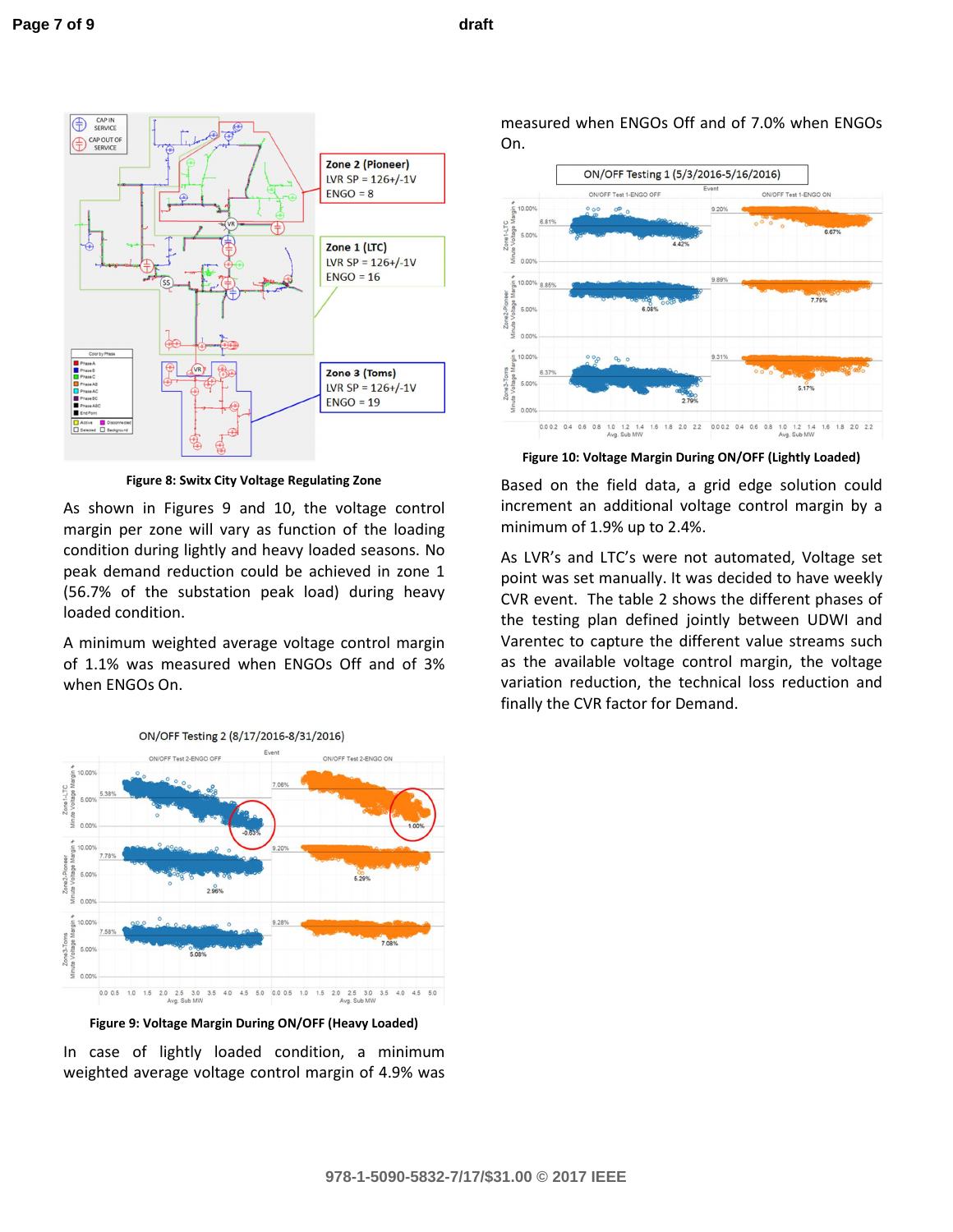

**Figure 8: Switx City Voltage Regulating Zone**

As shown in Figures 9 and 10, the voltage control margin per zone will vary as function of the loading condition during lightly and heavy loaded seasons. No peak demand reduction could be achieved in zone 1 (56.7% of the substation peak load) during heavy loaded condition.

A minimum weighted average voltage control margin of 1.1% was measured when ENGOs Off and of 3% when ENGOs On.





**Figure 9: Voltage Margin During ON/OFF (Heavy Loaded)**

In case of lightly loaded condition, a minimum weighted average voltage control margin of 4.9% was measured when ENGOs Off and of 7.0% when ENGOs On.



**Figure 10: Voltage Margin During ON/OFF (Lightly Loaded)**

Based on the field data, a grid edge solution could increment an additional voltage control margin by a minimum of 1.9% up to 2.4%.

As LVR's and LTC's were not automated, Voltage set point was set manually. It was decided to have weekly CVR event. The table 2 shows the different phases of the testing plan defined jointly between UDWI and **REC R E C R REN EM RG TUNE** the different value streams such as the available voltage control margin, the voltage variation reduction, the technical loss reduction and finally the CVR factor for Demand.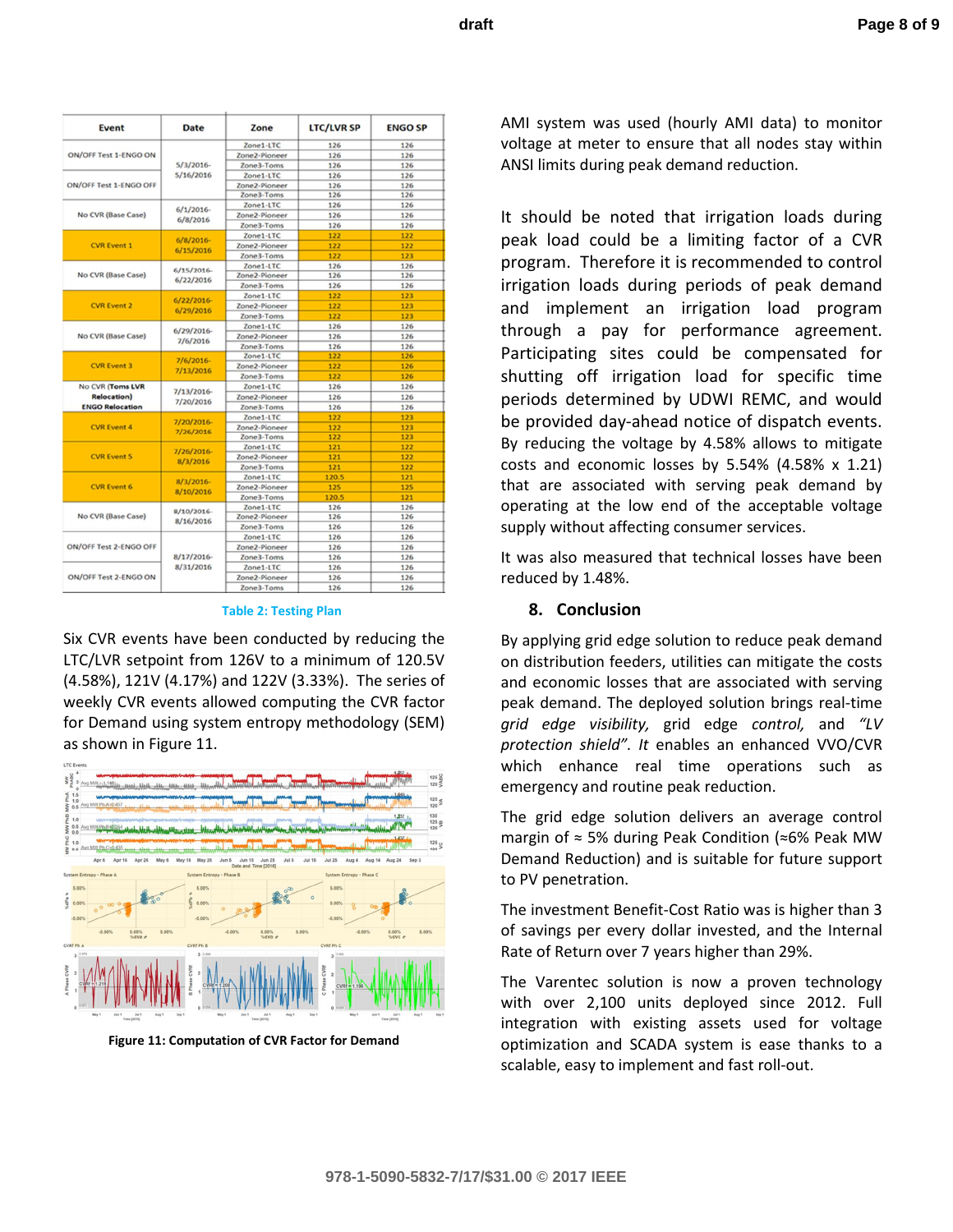| Event                                                             | Date                   | Zone          | <b>LTC/LVR SP</b> | <b>ENGO SP</b> |
|-------------------------------------------------------------------|------------------------|---------------|-------------------|----------------|
| ON/OFF Test 1-ENGO ON                                             |                        | Zone1-LTC     | 126               | 126            |
|                                                                   |                        | Zone2-Pioneer | 126               | 126            |
|                                                                   | 5/3/2016               | Zone3-Toms    | 126               | 126            |
| ON/OFF Test 1-ENGO OFF                                            | 5/16/2016              | Zone1-LTC     | 126               | 126            |
|                                                                   |                        | Zone2-Pioneer | 126               | 126            |
|                                                                   |                        | Zone3-Toms    | 126               | 126            |
| No CVR (Base Case)                                                | 6/1/2016<br>6/8/2016   | Zone1-LTC     | 126               | 126            |
|                                                                   |                        | Zone2-Pioneer | 126               | 126            |
|                                                                   |                        | Zone3-Toms    | 126               | 126            |
| <b>CVR</b> Event 1                                                |                        | Zone1-LTC     | 122               | 122            |
|                                                                   | 6/8/2016               | Zone2-Pioneer | 122               | 122            |
|                                                                   | 6/15/2016              | Zone3-Toms    | 122               | 123            |
| No CVR (Base Case)                                                |                        | Zone1-LTC     | 126               | 126            |
|                                                                   | 6/15/2016<br>6/22/2016 | Zone2-Pioneer | 126               | 126            |
|                                                                   |                        | Zone3-Toms    | 126               | 126            |
| <b>CVR Event 2</b>                                                |                        | Zone1-LTC     | 122               | 123            |
|                                                                   | 6/22/2016              | Zone2-Pioneer | 122               | 123            |
|                                                                   | 6/29/2016              | Zone3-Toms    | 122               | 123            |
| No CVR (Base Case)                                                |                        | Zone1-LTC     | 126               | 126            |
|                                                                   | 6/29/2016              | Zone2-Pioneer | 126               | 126            |
|                                                                   | 7/6/2016               | Zone3-Toms    | 126               | 126            |
| <b>CVR Event 3</b>                                                |                        | Zone1-LTC     | 122               | 126            |
|                                                                   | 7/6/2016               | Zone2-Pioneer | 122               | 126            |
|                                                                   | 7/13/2016              | Zone3-Toms    | 122               | 126            |
| No CVR (Toms LVR<br><b>Relocation</b> )<br><b>ENGO Relocation</b> | 7/13/2016<br>7/20/2016 | Zone1-LTC     | 126               | 126            |
|                                                                   |                        | Zone2-Pioneer | 126               | 126            |
|                                                                   |                        | Zone3-Toms    | 126               | 126            |
| <b>CVR Event 4</b>                                                |                        | Zone1-LTC     | 122               | 123            |
|                                                                   | 7/20/2016-             | Zone2-Pioneer | 122               | 123            |
|                                                                   | 7/26/2016              | Zone3-Toms    | 122               | 123            |
| <b>CVR Event 5</b>                                                |                        | Zone1-LTC     | 121               | 122            |
|                                                                   | 7/26/2016              | Zone2-Pioneer | 121               | 122            |
|                                                                   | 8/3/2016               | Zone3-Toms    | 121               | 122            |
| <b>CVR Event 6</b>                                                |                        | Zone1-LTC     | 120.5             | 121            |
|                                                                   | 8/3/2016               | Zone2-Pioneer | 125               | 125            |
|                                                                   | 8/10/2016              | Zone3-Toms    | 120.5             | 121            |
| No CVR (Base Case)                                                |                        | Zone1-LTC     | 126               | 126            |
|                                                                   | 8/10/2016-             | Zone2-Pioneer | 126               | 126            |
|                                                                   | 8/16/2016              | Zone3-Toms    | 126               | 126            |
| ON/OFF Test 2-ENGO OFF                                            |                        | Zone1-LTC     | 126               | 126            |
|                                                                   |                        | Zone2-Pioneer | 126               | 126            |
|                                                                   | 8/17/2016              | Zone3-Toms    | 126               | 126            |
| ON/OFF Test 2-ENGO ON                                             | 8/31/2016              | Zone1-LTC     | 126               | 126            |
|                                                                   |                        | Zone2-Pioneer | 126               | 126            |
|                                                                   |                        | Zone3-Toms    | 126               | 126            |

## **Table 2: Testing Plan**

Six CVR events have been conducted by reducing the LTC/LVR setpoint from 126V to a minimum of 120.5V (4.58%), 121V (4.17%) and 122V (3.33%). The series of weekly CVR events allowed computing the CVR factor for Demand using system entropy methodology (SEM) as shown in Figure 11.



**Figure 11: Computation of CVR Factor for Demand**

AMI system was used (hourly AMI data) to monitor voltage at meter to ensure that all nodes stay within ANSI limits during peak demand reduction.

It should be noted that irrigation loads during peak load could be a limiting factor of a CVR program. Therefore it is recommended to control irrigation loads during periods of peak demand and implement an irrigation load program through a pay for performance agreement. Participating sites could be compensated for shutting off irrigation load for specific time periods determined by UDWI REMC, and would be provided day-ahead notice of dispatch events. By reducing the voltage by 4.58% allows to mitigate costs and economic losses by 5.54% (4.58% x 1.21) that are associated with serving peak demand by operating at the low end of the acceptable voltage supply without affecting consumer services.

It was also measured that technical losses have been reduced by 1.48%.

## **8. Conclusion**

By applying grid edge solution to reduce peak demand on distribution feeders, utilities can mitigate the costs and economic losses that are associated with serving peak demand. The deployed solution brings real-time *grid edge visibility,* grid edge *control,* and *"LV protection shield". It* enables an enhanced VVO/CVR which enhance real time operations such as emergency and routine peak reduction.

The grid edge solution delivers an average control margin of ≈ 5% during Peak Condition (≈6% Peak MW Demand Reduction) and is suitable for future support to PV penetration.

The investment Benefit-Cost Ratio was is higher than 3 of savings per every dollar invested, and the Internal Rate of Return over 7 years higher than 29%.

The Sentient Energy solution is now a proven technology with over 2,100 units deployed since 2012. Full integration with existing assets used for voltage optimization and SCADA system is ease thanks to a scalable, easy to implement and fast rollout.